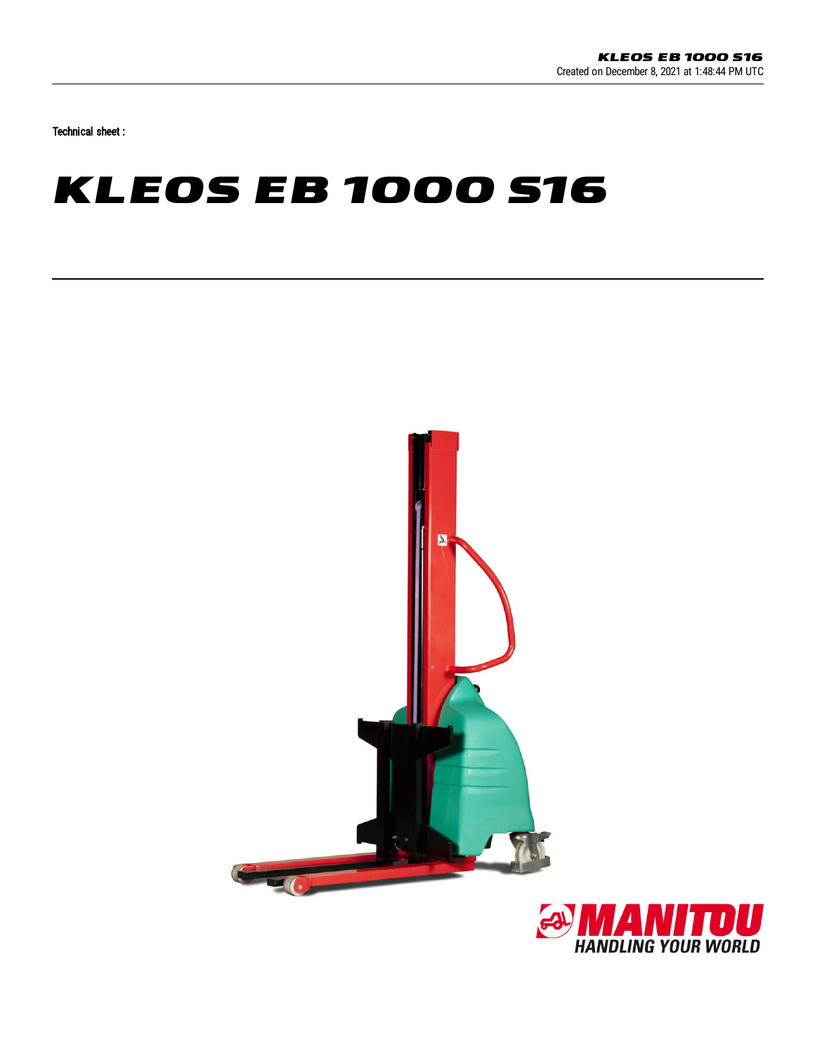Technical sheet :

## **KLEOS EB 1000 S16**



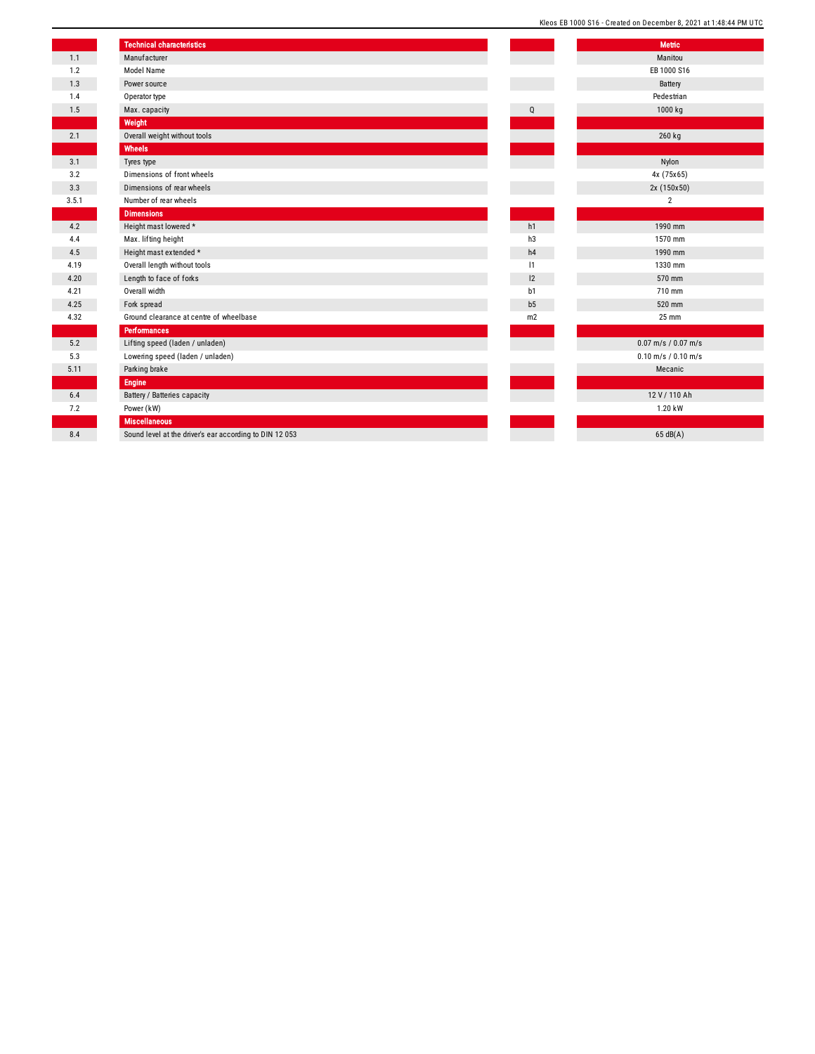|  |  | Kleos EB 1000 S16 - Created on December 8, 2021 at 1:48:44 PM UTC |  |  |  |  |
|--|--|-------------------------------------------------------------------|--|--|--|--|
|  |  |                                                                   |  |  |  |  |

|       | <b>Technical characteristics</b>                        |                | <b>Metric</b>           |
|-------|---------------------------------------------------------|----------------|-------------------------|
| 1.1   | Manufacturer                                            |                | Manitou                 |
| 1.2   | Model Name                                              |                | EB 1000 S16             |
| 1.3   | Power source                                            |                | Battery                 |
| 1.4   | Operator type                                           |                | Pedestrian              |
| 1.5   | Max. capacity                                           | Q              | 1000 kg                 |
|       | Weight                                                  |                |                         |
| 2.1   | Overall weight without tools                            |                | 260 kg                  |
|       | Wheels                                                  |                |                         |
| 3.1   | Tyres type                                              |                | Nylon                   |
| 3.2   | Dimensions of front wheels                              |                | 4x (75x65)              |
| 3.3   | Dimensions of rear wheels                               |                | 2x (150x50)             |
| 3.5.1 | Number of rear wheels                                   |                | $\overline{2}$          |
|       | <b>Dimensions</b>                                       |                |                         |
| 4.2   | Height mast lowered *                                   | h1             | 1990 mm                 |
| 4.4   | Max. lifting height                                     | h3             | 1570 mm                 |
| 4.5   | Height mast extended *                                  | h4             | 1990 mm                 |
| 4.19  | Overall length without tools                            | 1              | 1330 mm                 |
| 4.20  | Length to face of forks                                 | 12             | 570 mm                  |
| 4.21  | Overall width                                           | b1             | 710 mm                  |
| 4.25  | Fork spread                                             | b <sub>5</sub> | 520 mm                  |
| 4.32  | Ground clearance at centre of wheelbase                 | m2             | 25 mm                   |
|       | <b>Performances</b>                                     |                |                         |
| 5.2   | Lifting speed (laden / unladen)                         |                | $0.07$ m/s / $0.07$ m/s |
| 5.3   | Lowering speed (laden / unladen)                        |                | $0.10$ m/s / $0.10$ m/s |
| 5.11  | Parking brake                                           |                | Mecanic                 |
|       | <b>Engine</b>                                           |                |                         |
| 6.4   | Battery / Batteries capacity                            |                | 12 V / 110 Ah           |
| 7.2   | Power (kW)                                              |                | 1.20 kW                 |
|       | <b>Miscellaneous</b>                                    |                |                         |
| 8.4   | Sound level at the driver's ear according to DIN 12 053 |                | 65 dB(A)                |
|       |                                                         |                |                         |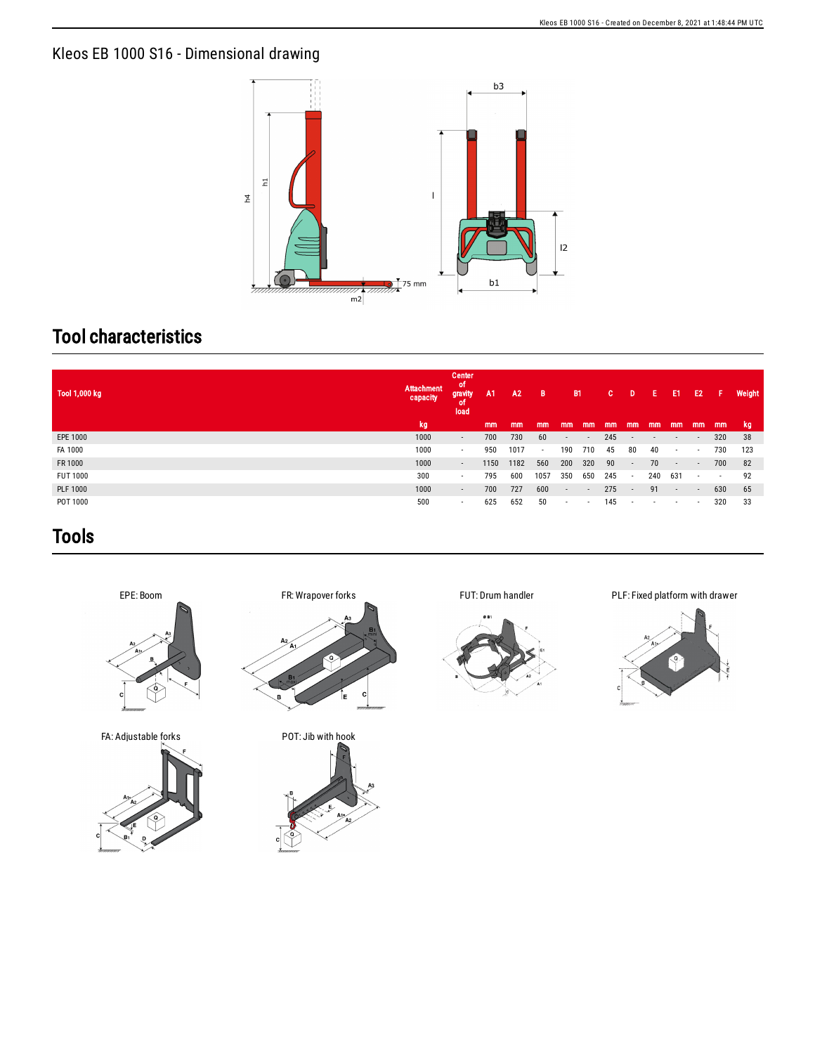## Kleos EB 1000 S16 - Dimensional drawing



## Tool characteristics

| Tool 1,000 kg   | Attachment<br>capacity | Center<br>ot<br>gravity<br>٥t<br>load | A <sub>1</sub> | A2   | B             | <b>B1</b>                |                          | C.  | D                        | Е      | E1                       | E <sub>2</sub>           | Æ      | Weight |
|-----------------|------------------------|---------------------------------------|----------------|------|---------------|--------------------------|--------------------------|-----|--------------------------|--------|--------------------------|--------------------------|--------|--------|
|                 | kg                     |                                       | mm             | mm   | <sub>mm</sub> | mm                       | mm                       | mm  | mm                       | mm     | mm                       | mm                       | mm     | kg.    |
| EPE 1000        | 1000                   | $\sim$                                | 700            | 730  | 60            | $\overline{\phantom{a}}$ | $\overline{\phantom{a}}$ | 245 | $\sim$                   | $\sim$ | $\sim$                   | $\overline{\phantom{a}}$ | 320    | -38    |
| FA 1000         | 1000                   | $\sim$                                | 950            | 1017 | $\sim$        | 190                      | 710                      | 45  | 80                       | 40     | $\sim$                   | $\sim$                   | 730    | 123    |
| FR 1000         | 1000                   | $\sim$                                | 1150           | 1182 | 560           | 200                      | 320                      | 90  | $\sim$                   | 70     | $\sim$                   | $\overline{\phantom{a}}$ | 700    | 82     |
| <b>FUT 1000</b> | 300                    | $\sim$                                | 795            | 600  | 1057          | 350                      | 650                      | 245 | $\sim$                   | 240    | 631                      | $\sim$                   | $\sim$ | 92     |
| <b>PLF 1000</b> | 1000                   | $\sim$                                | 700            | 727  | 600           | $\sim$                   | $\overline{\phantom{a}}$ | 275 | $\overline{\phantom{a}}$ | 91     | $\sim$                   | $\sim$                   | 630    | 65     |
| POT 1000        | 500                    |                                       | 625            | 652  | 50            |                          | $\overline{\phantom{a}}$ | 145 | ٠                        |        | $\overline{\phantom{a}}$ | $\sim$                   | 320    | 33     |

## Tools



FA: Adjustable forks POT: Jib with hook